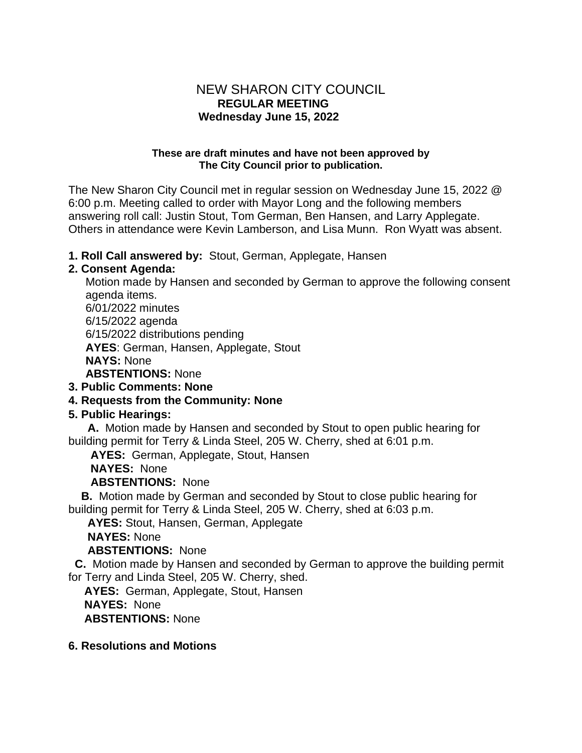# NEW SHARON CITY COUNCIL  **REGULAR MEETING Wednesday June 15, 2022**

#### **These are draft minutes and have not been approved by The City Council prior to publication.**

The New Sharon City Council met in regular session on Wednesday June 15, 2022 @ 6:00 p.m. Meeting called to order with Mayor Long and the following members answering roll call: Justin Stout, Tom German, Ben Hansen, and Larry Applegate. Others in attendance were Kevin Lamberson, and Lisa Munn. Ron Wyatt was absent.

### **1. Roll Call answered by:** Stout, German, Applegate, Hansen

### **2. Consent Agenda:**

Motion made by Hansen and seconded by German to approve the following consent agenda items. 6/01/2022 minutes 6/15/2022 agenda 6/15/2022 distributions pending **AYES**: German, Hansen, Applegate, Stout **NAYS:** None **ABSTENTIONS:** None **3. Public Comments: None**

# **4. Requests from the Community: None**

# **5. Public Hearings:**

 **A.** Motion made by Hansen and seconded by Stout to open public hearing for building permit for Terry & Linda Steel, 205 W. Cherry, shed at 6:01 p.m.

**AYES:** German, Applegate, Stout, Hansen

**NAYES:** None

### **ABSTENTIONS:** None

 **B.** Motion made by German and seconded by Stout to close public hearing for building permit for Terry & Linda Steel, 205 W. Cherry, shed at 6:03 p.m.

**AYES:** Stout, Hansen, German, Applegate

**NAYES:** None

# **ABSTENTIONS:** None

 **C.** Motion made by Hansen and seconded by German to approve the building permit for Terry and Linda Steel, 205 W. Cherry, shed.

**AYES:** German, Applegate, Stout, Hansen

**NAYES:** None

**ABSTENTIONS:** None

### **6. Resolutions and Motions**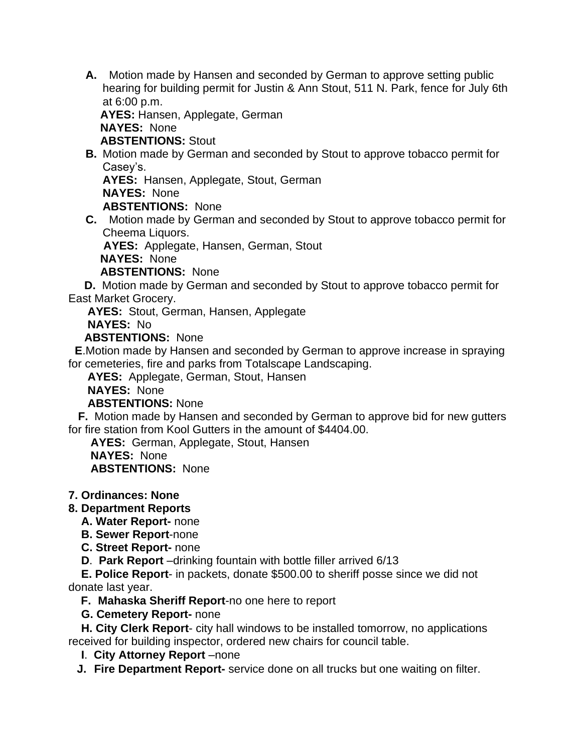**A.** Motion made by Hansen and seconded by German to approve setting public hearing for building permit for Justin & Ann Stout, 511 N. Park, fence for July 6th at 6:00 p.m.

 **AYES:** Hansen, Applegate, German **NAYES:** None

**ABSTENTIONS:** Stout

**B.** Motion made by German and seconded by Stout to approve tobacco permit for Casey's.

**AYES:** Hansen, Applegate, Stout, German

**NAYES:** None

**ABSTENTIONS:** None

**C.** Motion made by German and seconded by Stout to approve tobacco permit for Cheema Liquors.

**AYES:** Applegate, Hansen, German, Stout

**NAYES:** None

**ABSTENTIONS:** None

 **D.** Motion made by German and seconded by Stout to approve tobacco permit for East Market Grocery.

**AYES:** Stout, German, Hansen, Applegate

**NAYES:** No

**ABSTENTIONS:** None

 **E**.Motion made by Hansen and seconded by German to approve increase in spraying for cemeteries, fire and parks from Totalscape Landscaping.

**AYES:** Applegate, German, Stout, Hansen

**NAYES:** None

**ABSTENTIONS:** None

 **F.** Motion made by Hansen and seconded by German to approve bid for new gutters for fire station from Kool Gutters in the amount of \$4404.00.

**AYES:** German, Applegate, Stout, Hansen

**NAYES:** None

**ABSTENTIONS:** None

- **7. Ordinances: None**
- **8. Department Reports**
	- **A. Water Report-** none
	- **B. Sewer Report**-none
	- **C. Street Report-** none

**D**. **Park Report** –drinking fountain with bottle filler arrived 6/13

 **E. Police Report**- in packets, donate \$500.00 to sheriff posse since we did not donate last year.

**F. Mahaska Sheriff Report**-no one here to report

 **G. Cemetery Report-** none

 **H. City Clerk Report**- city hall windows to be installed tomorrow, no applications received for building inspector, ordered new chairs for council table.

**I. City Attorney Report** –none

**J. Fire Department Report-** service done on all trucks but one waiting on filter.